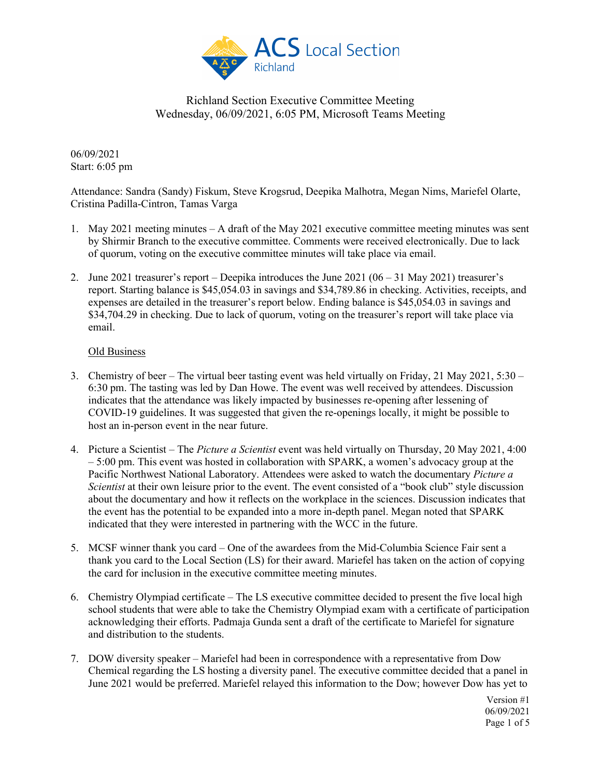

06/09/2021 Start: 6:05 pm

Attendance: Sandra (Sandy) Fiskum, Steve Krogsrud, Deepika Malhotra, Megan Nims, Mariefel Olarte, Cristina Padilla-Cintron, Tamas Varga

- 1. May 2021 meeting minutes A draft of the May 2021 executive committee meeting minutes was sent by Shirmir Branch to the executive committee. Comments were received electronically. Due to lack of quorum, voting on the executive committee minutes will take place via email.
- 2. June 2021 treasurer's report Deepika introduces the June 2021  $(06 31$  May 2021) treasurer's report. Starting balance is \$45,054.03 in savings and \$34,789.86 in checking. Activities, receipts, and expenses are detailed in the treasurer's report below. Ending balance is \$45,054.03 in savings and \$34,704.29 in checking. Due to lack of quorum, voting on the treasurer's report will take place via email.

## Old Business

- 3. Chemistry of beer The virtual beer tasting event was held virtually on Friday, 21 May 2021, 5:30 6:30 pm. The tasting was led by Dan Howe. The event was well received by attendees. Discussion indicates that the attendance was likely impacted by businesses re-opening after lessening of COVID-19 guidelines. It was suggested that given the re-openings locally, it might be possible to host an in-person event in the near future.
- 4. Picture a Scientist The *Picture a Scientist* event was held virtually on Thursday, 20 May 2021, 4:00 – 5:00 pm. This event was hosted in collaboration with SPARK, a women's advocacy group at the Pacific Northwest National Laboratory. Attendees were asked to watch the documentary *Picture a Scientist* at their own leisure prior to the event. The event consisted of a "book club" style discussion about the documentary and how it reflects on the workplace in the sciences. Discussion indicates that the event has the potential to be expanded into a more in-depth panel. Megan noted that SPARK indicated that they were interested in partnering with the WCC in the future.
- 5. MCSF winner thank you card One of the awardees from the Mid-Columbia Science Fair sent a thank you card to the Local Section (LS) for their award. Mariefel has taken on the action of copying the card for inclusion in the executive committee meeting minutes.
- 6. Chemistry Olympiad certificate The LS executive committee decided to present the five local high school students that were able to take the Chemistry Olympiad exam with a certificate of participation acknowledging their efforts. Padmaja Gunda sent a draft of the certificate to Mariefel for signature and distribution to the students.
- 7. DOW diversity speaker Mariefel had been in correspondence with a representative from Dow Chemical regarding the LS hosting a diversity panel. The executive committee decided that a panel in June 2021 would be preferred. Mariefel relayed this information to the Dow; however Dow has yet to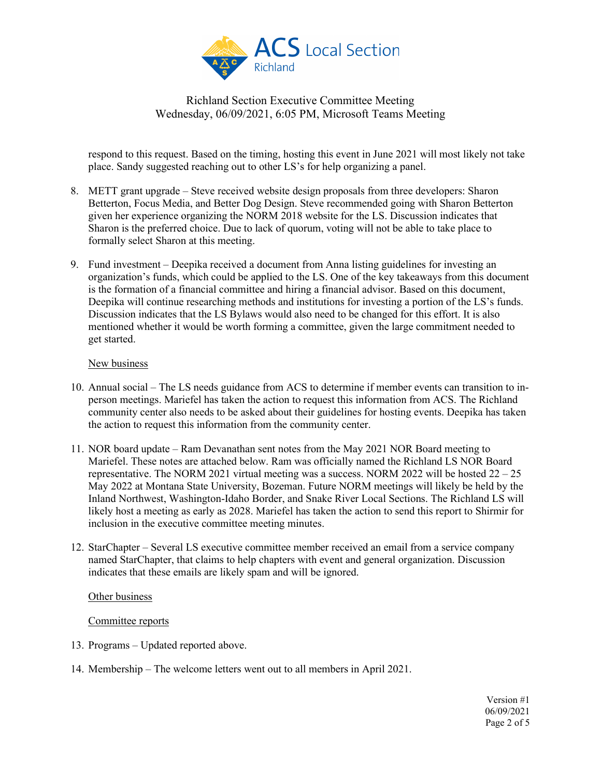

respond to this request. Based on the timing, hosting this event in June 2021 will most likely not take place. Sandy suggested reaching out to other LS's for help organizing a panel.

- 8. METT grant upgrade Steve received website design proposals from three developers: Sharon Betterton, Focus Media, and Better Dog Design. Steve recommended going with Sharon Betterton given her experience organizing the NORM 2018 website for the LS. Discussion indicates that Sharon is the preferred choice. Due to lack of quorum, voting will not be able to take place to formally select Sharon at this meeting.
- 9. Fund investment Deepika received a document from Anna listing guidelines for investing an organization's funds, which could be applied to the LS. One of the key takeaways from this document is the formation of a financial committee and hiring a financial advisor. Based on this document, Deepika will continue researching methods and institutions for investing a portion of the LS's funds. Discussion indicates that the LS Bylaws would also need to be changed for this effort. It is also mentioned whether it would be worth forming a committee, given the large commitment needed to get started.

#### New business

- 10. Annual social The LS needs guidance from ACS to determine if member events can transition to inperson meetings. Mariefel has taken the action to request this information from ACS. The Richland community center also needs to be asked about their guidelines for hosting events. Deepika has taken the action to request this information from the community center.
- 11. NOR board update Ram Devanathan sent notes from the May 2021 NOR Board meeting to Mariefel. These notes are attached below. Ram was officially named the Richland LS NOR Board representative. The NORM 2021 virtual meeting was a success. NORM 2022 will be hosted  $22 - 25$ May 2022 at Montana State University, Bozeman. Future NORM meetings will likely be held by the Inland Northwest, Washington-Idaho Border, and Snake River Local Sections. The Richland LS will likely host a meeting as early as 2028. Mariefel has taken the action to send this report to Shirmir for inclusion in the executive committee meeting minutes.
- 12. StarChapter Several LS executive committee member received an email from a service company named StarChapter, that claims to help chapters with event and general organization. Discussion indicates that these emails are likely spam and will be ignored.

### Other business

### Committee reports

- 13. Programs Updated reported above.
- 14. Membership The welcome letters went out to all members in April 2021.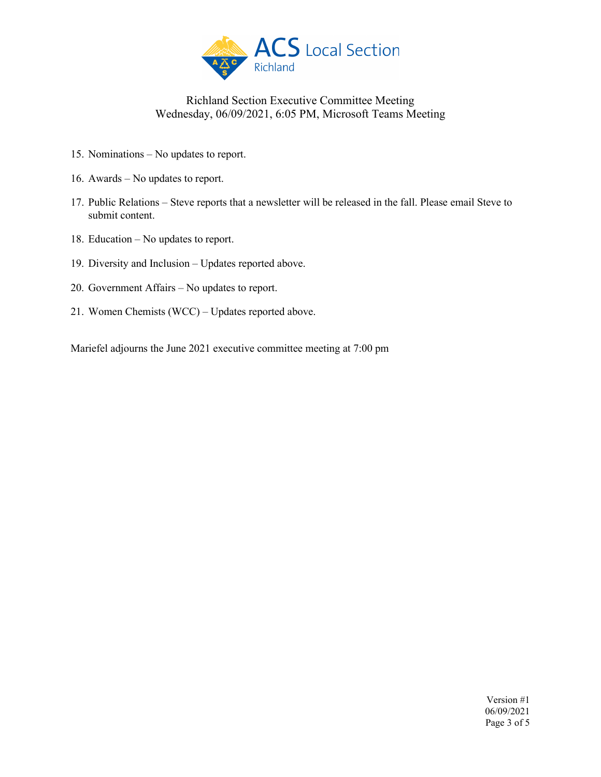

- 15. Nominations No updates to report.
- 16. Awards No updates to report.
- 17. Public Relations Steve reports that a newsletter will be released in the fall. Please email Steve to submit content.
- 18. Education No updates to report.
- 19. Diversity and Inclusion Updates reported above.
- 20. Government Affairs No updates to report.
- 21. Women Chemists (WCC) Updates reported above.

Mariefel adjourns the June 2021 executive committee meeting at 7:00 pm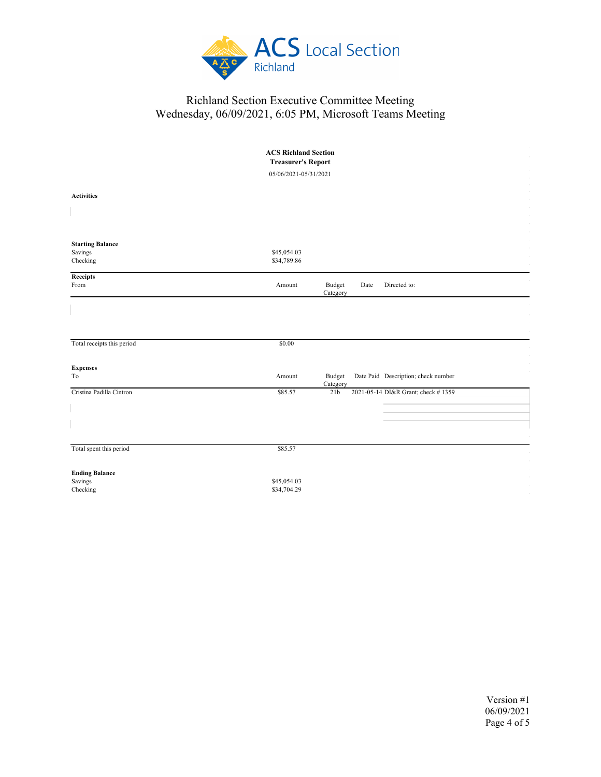

|                                    | <b>ACS Richland Section</b><br><b>Treasurer's Report</b> |                                                           |
|------------------------------------|----------------------------------------------------------|-----------------------------------------------------------|
|                                    | 05/06/2021-05/31/2021                                    |                                                           |
| <b>Activities</b>                  |                                                          |                                                           |
|                                    |                                                          |                                                           |
|                                    |                                                          |                                                           |
| <b>Starting Balance</b><br>Savings | \$45,054.03                                              |                                                           |
| Checking                           | \$34,789.86                                              |                                                           |
| Receipts<br>From                   | Amount                                                   | Directed to:<br>Budget<br>Date<br>Category                |
|                                    |                                                          |                                                           |
|                                    |                                                          |                                                           |
| Total receipts this period         | \$0.00                                                   |                                                           |
| <b>Expenses</b>                    |                                                          |                                                           |
| To                                 | Amount                                                   | Date Paid Description; check number<br>Budget<br>Category |
| Cristina Padilla Cintron           | \$85.57                                                  | 2021-05-14 DI&R Grant; check #1359<br>21 <sub>b</sub>     |
|                                    |                                                          |                                                           |
|                                    |                                                          |                                                           |
|                                    |                                                          |                                                           |
| Total spent this period            | \$85.57                                                  |                                                           |
| <b>Ending Balance</b>              |                                                          |                                                           |
| Savings<br>Checking                | \$45,054.03<br>\$34,704.29                               |                                                           |